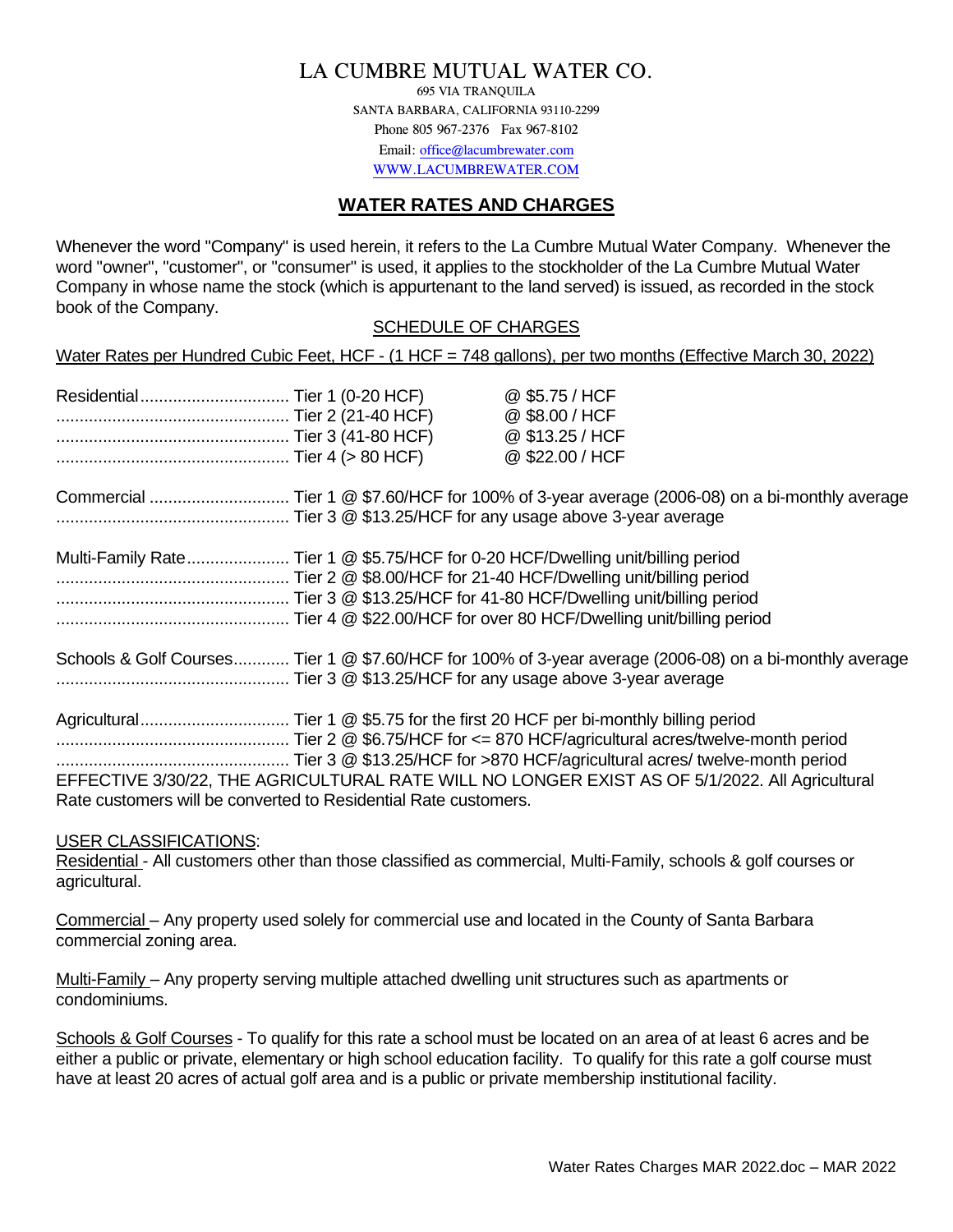# LA CUMBRE MUTUAL WATER CO.

695 VIA TRANQUILA SANTA BARBARA, CALIFORNIA 93110-2299 Phone 805 967-2376 Fax 967-8102 Email: [office@lacumbrewater.com](mailto:office@lacumbrewater.com) [WWW.LACUMBREWATER.COM](http://www.lacumbrewater.com/)

# **WATER RATES AND CHARGES**

Whenever the word "Company" is used herein, it refers to the La Cumbre Mutual Water Company. Whenever the word "owner", "customer", or "consumer" is used, it applies to the stockholder of the La Cumbre Mutual Water Company in whose name the stock (which is appurtenant to the land served) is issued, as recorded in the stock book of the Company.

### SCHEDULE OF CHARGES

Water Rates per Hundred Cubic Feet, HCF - (1 HCF = 748 gallons), per two months (Effective March 30, 2022)

|  | @ \$5.75 / HCF<br>@ \$8.00 / HCF<br>@ \$13.25 / HCF                                                     |  |
|--|---------------------------------------------------------------------------------------------------------|--|
|  | @ \$22.00 / HCF                                                                                         |  |
|  |                                                                                                         |  |
|  | Multi-Family Rate Tier 1 @ \$5.75/HCF for 0-20 HCF/Dwelling unit/billing period                         |  |
|  | Schools & Golf Courses Tier 1 @ \$7.60/HCF for 100% of 3-year average (2006-08) on a bi-monthly average |  |
|  |                                                                                                         |  |
|  | EFFECTIVE 3/30/22, THE AGRICULTURAL RATE WILL NO LONGER EXIST AS OF 5/1/2022. All Agricultural          |  |

# USER CLASSIFICATIONS:

Rate customers will be converted to Residential Rate customers.

Residential - All customers other than those classified as commercial, Multi-Family, schools & golf courses or agricultural.

Commercial – Any property used solely for commercial use and located in the County of Santa Barbara commercial zoning area.

Multi-Family – Any property serving multiple attached dwelling unit structures such as apartments or condominiums.

Schools & Golf Courses - To qualify for this rate a school must be located on an area of at least 6 acres and be either a public or private, elementary or high school education facility. To qualify for this rate a golf course must have at least 20 acres of actual golf area and is a public or private membership institutional facility.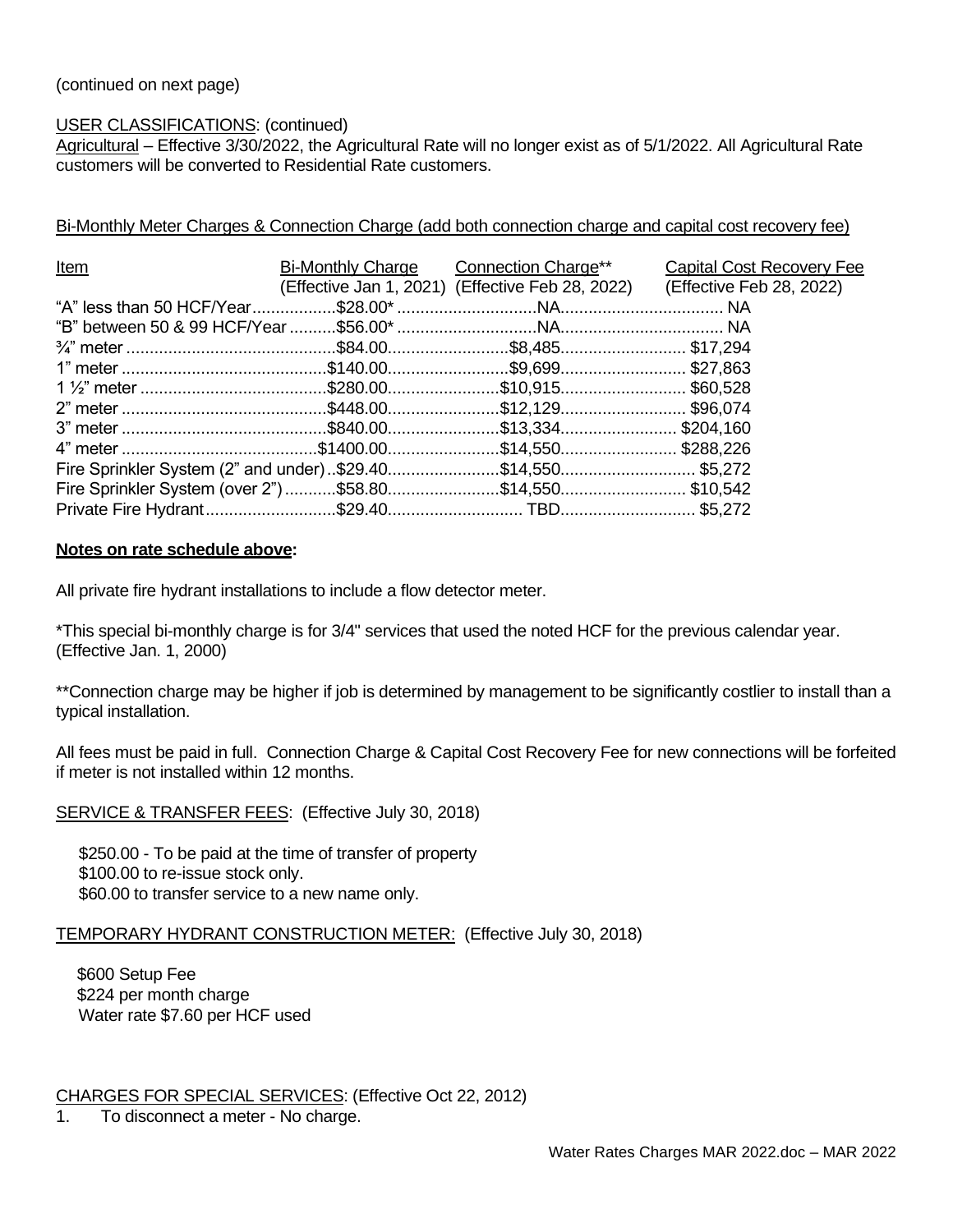## (continued on next page)

#### USER CLASSIFICATIONS: (continued)

Agricultural - Effective 3/30/2022, the Agricultural Rate will no longer exist as of 5/1/2022. All Agricultural Rate customers will be converted to Residential Rate customers.

### Bi-Monthly Meter Charges & Connection Charge (add both connection charge and capital cost recovery fee)

| <u>Item</u> | <b>Bi-Monthly Charge Connection Charge**</b> | <b>Capital Cost Recovery Fee</b>                                          |
|-------------|----------------------------------------------|---------------------------------------------------------------------------|
|             |                                              | (Effective Jan 1, 2021) (Effective Feb 28, 2022) (Effective Feb 28, 2022) |
|             |                                              |                                                                           |
|             |                                              |                                                                           |
|             |                                              |                                                                           |
|             |                                              |                                                                           |
|             |                                              |                                                                           |
|             |                                              |                                                                           |
|             |                                              |                                                                           |
|             |                                              |                                                                           |
|             |                                              |                                                                           |
|             |                                              |                                                                           |
|             |                                              |                                                                           |

#### **Notes on rate schedule above:**

All private fire hydrant installations to include a flow detector meter.

\*This special bi-monthly charge is for 3/4" services that used the noted HCF for the previous calendar year. (Effective Jan. 1, 2000)

\*\*Connection charge may be higher if job is determined by management to be significantly costlier to install than a typical installation.

All fees must be paid in full. Connection Charge & Capital Cost Recovery Fee for new connections will be forfeited if meter is not installed within 12 months.

SERVICE & TRANSFER FEES: (Effective July 30, 2018)

 \$250.00 - To be paid at the time of transfer of property . \$100.00 to re-issue stock only. \$60.00 to transfer service to a new name only.

#### TEMPORARY HYDRANT CONSTRUCTION METER: (Effective July 30, 2018)

\$600 Setup Fee \$224 per month charge Water rate \$7.60 per HCF used

CHARGES FOR SPECIAL SERVICES: (Effective Oct 22, 2012)

1. To disconnect a meter - No charge.